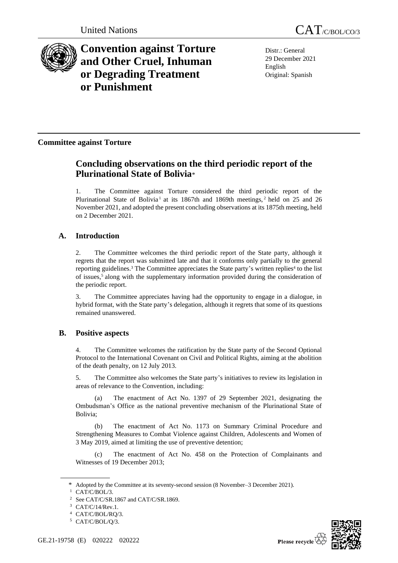

**Convention against Torture and Other Cruel, Inhuman or Degrading Treatment or Punishment**

Distr.: General 29 December 2021 English Original: Spanish

## **Committee against Torture**

# **Concluding observations on the third periodic report of the Plurinational State of Bolivia**\*

1. The Committee against Torture considered the third periodic report of the Plurinational State of Bolivia<sup>1</sup> at its 1867th and 1869th meetings,  $2$  held on 25 and 26 November 2021, and adopted the present concluding observations at its 1875th meeting, held on 2 December 2021.

## **A. Introduction**

2. The Committee welcomes the third periodic report of the State party, although it regrets that the report was submitted late and that it conforms only partially to the general reporting guidelines.<sup>3</sup> The Committee appreciates the State party's written replies<sup>4</sup> to the list of issues,<sup>5</sup> along with the supplementary information provided during the consideration of the periodic report.

3. The Committee appreciates having had the opportunity to engage in a dialogue, in hybrid format, with the State party's delegation, although it regrets that some of its questions remained unanswered.

## **B. Positive aspects**

4. The Committee welcomes the ratification by the State party of the Second Optional Protocol to the International Covenant on Civil and Political Rights, aiming at the abolition of the death penalty, on 12 July 2013.

5. The Committee also welcomes the State party's initiatives to review its legislation in areas of relevance to the Convention, including:

(a) The enactment of Act No. 1397 of 29 September 2021, designating the Ombudsman's Office as the national preventive mechanism of the Plurinational State of Bolivia;

(b) The enactment of Act No. 1173 on Summary Criminal Procedure and Strengthening Measures to Combat Violence against Children, Adolescents and Women of 3 May 2019, aimed at limiting the use of preventive detention;

(c) The enactment of Act No. 458 on the Protection of Complainants and Witnesses of 19 December 2013;

<sup>\*</sup> Adopted by the Committee at its seventy-second session (8 November–3 December 2021).

<sup>&</sup>lt;sup>1</sup> CAT/C/BOL/3.

See CAT/C/SR.1867 and CAT/C/SR.1869.

CAT/C/14/Rev.1.

<sup>4</sup> CAT/C/BOL/RQ/3.

<sup>5</sup> CAT/C/BOL/Q/3.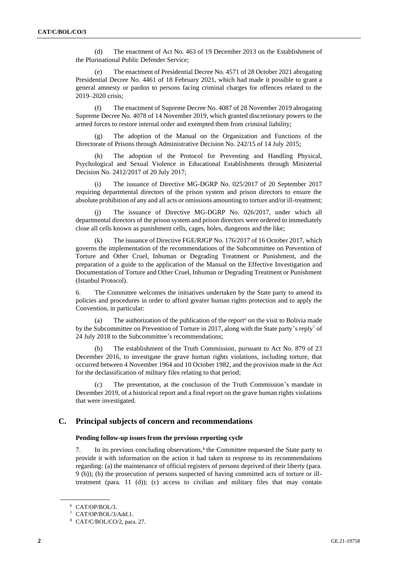(d) The enactment of Act No. 463 of 19 December 2013 on the Establishment of the Plurinational Public Defender Service;

(e) The enactment of Presidential Decree No. 4571 of 28 October 2021 abrogating Presidential Decree No. 4461 of 18 February 2021, which had made it possible to grant a general amnesty or pardon to persons facing criminal charges for offences related to the 2019–2020 crisis;

(f) The enactment of Supreme Decree No. 4087 of 28 November 2019 abrogating Supreme Decree No. 4078 of 14 November 2019, which granted discretionary powers to the armed forces to restore internal order and exempted them from criminal liability;

(g) The adoption of the Manual on the Organization and Functions of the Directorate of Prisons through Administrative Decision No. 242/15 of 14 July 2015;

The adoption of the Protocol for Preventing and Handling Physical, Psychological and Sexual Violence in Educational Establishments through Ministerial Decision No. 2412/2017 of 20 July 2017;

(i) The issuance of Directive MG-DGRP No. 025/2017 of 20 September 2017 requiring departmental directors of the prison system and prison directors to ensure the absolute prohibition of any and all acts or omissions amounting to torture and/or ill-treatment;

(j) The issuance of Directive MG-DGRP No. 026/2017, under which all departmental directors of the prison system and prison directors were ordered to immediately close all cells known as punishment cells, cages, holes, dungeons and the like;

(k) The issuance of Directive FGE/RJGP No. 176/2017 of 16 October 2017, which governs the implementation of the recommendations of the Subcommittee on Prevention of Torture and Other Cruel, Inhuman or Degrading Treatment or Punishment, and the preparation of a guide to the application of the Manual on the Effective Investigation and Documentation of Torture and Other Cruel, Inhuman or Degrading Treatment or Punishment (Istanbul Protocol).

6. The Committee welcomes the initiatives undertaken by the State party to amend its policies and procedures in order to afford greater human rights protection and to apply the Convention, in particular:

(a) The authorization of the publication of the report<sup>6</sup> on the visit to Bolivia made by the Subcommittee on Prevention of Torture in 2017, along with the State party's reply<sup>7</sup> of 24 July 2018 to the Subcommittee's recommendations;

(b) The establishment of the Truth Commission, pursuant to Act No. 879 of 23 December 2016, to investigate the grave human rights violations, including torture, that occurred between 4 November 1964 and 10 October 1982, and the provision made in the Act for the declassification of military files relating to that period;

The presentation, at the conclusion of the Truth Commission's mandate in December 2019, of a historical report and a final report on the grave human rights violations that were investigated.

## **C. Principal subjects of concern and recommendations**

## **Pending follow-up issues from the previous reporting cycle**

7. In its previous concluding observations, $\delta$  the Committee requested the State party to provide it with information on the action it had taken in response to its recommendations regarding: (a) the maintenance of official registers of persons deprived of their liberty (para. 9 (b)); (b) the prosecution of persons suspected of having committed acts of torture or illtreatment (para.  $11$  (d)); (c) access to civilian and military files that may contain

<sup>6</sup> CAT/OP/BOL/3.

<sup>7</sup> CAT/OP/BOL/3/Add.1.

<sup>8</sup> CAT/C/BOL/CO/2, para. 27.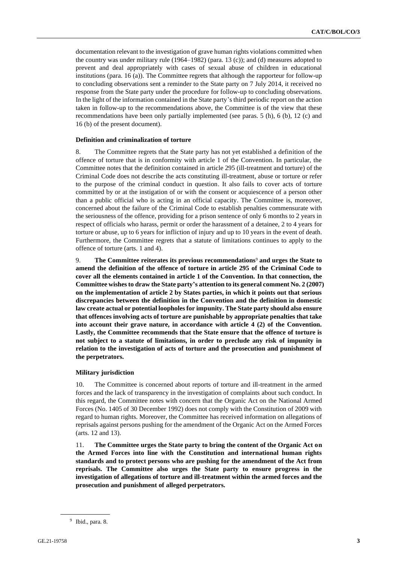documentation relevant to the investigation of grave human rights violations committed when the country was under military rule  $(1964–1982)$  (para. 13 (c)); and (d) measures adopted to prevent and deal appropriately with cases of sexual abuse of children in educational institutions (para. 16 (a)). The Committee regrets that although the rapporteur for follow-up to concluding observations sent a reminder to the State party on 7 July 2014, it received no response from the State party under the procedure for follow-up to concluding observations. In the light of the information contained in the State party's third periodic report on the action taken in follow-up to the recommendations above, the Committee is of the view that these recommendations have been only partially implemented (see paras. 5 (h), 6 (b), 12 (c) and 16 (b) of the present document).

#### **Definition and criminalization of torture**

8. The Committee regrets that the State party has not yet established a definition of the offence of torture that is in conformity with article 1 of the Convention. In particular, the Committee notes that the definition contained in article 295 (ill-treatment and torture) of the Criminal Code does not describe the acts constituting ill-treatment, abuse or torture or refer to the purpose of the criminal conduct in question. It also fails to cover acts of torture committed by or at the instigation of or with the consent or acquiescence of a person other than a public official who is acting in an official capacity. The Committee is, moreover, concerned about the failure of the Criminal Code to establish penalties commensurate with the seriousness of the offence, providing for a prison sentence of only 6 months to 2 years in respect of officials who harass, permit or order the harassment of a detainee, 2 to 4 years for torture or abuse, up to 6 years for infliction of injury and up to 10 years in the event of death. Furthermore, the Committee regrets that a statute of limitations continues to apply to the offence of torture (arts. 1 and 4).

9. **The Committee reiterates its previous recommendations**<sup>9</sup> **and urges the State to amend the definition of the offence of torture in article 295 of the Criminal Code to cover all the elements contained in article 1 of the Convention. In that connection, the Committee wishes to draw the State party's attention to its general comment No. 2 (2007) on the implementation of article 2 by States parties, in which it points out that serious discrepancies between the definition in the Convention and the definition in domestic law create actual or potential loopholes for impunity. The State party should also ensure that offences involving acts of torture are punishable by appropriate penalties that take into account their grave nature, in accordance with article 4 (2) of the Convention. Lastly, the Committee recommends that the State ensure that the offence of torture is not subject to a statute of limitations, in order to preclude any risk of impunity in relation to the investigation of acts of torture and the prosecution and punishment of the perpetrators.**

#### **Military jurisdiction**

10. The Committee is concerned about reports of torture and ill-treatment in the armed forces and the lack of transparency in the investigation of complaints about such conduct. In this regard, the Committee notes with concern that the Organic Act on the National Armed Forces (No. 1405 of 30 December 1992) does not comply with the Constitution of 2009 with regard to human rights. Moreover, the Committee has received information on allegations of reprisals against persons pushing for the amendment of the Organic Act on the Armed Forces (arts. 12 and 13).

11. **The Committee urges the State party to bring the content of the Organic Act on the Armed Forces into line with the Constitution and international human rights standards and to protect persons who are pushing for the amendment of the Act from reprisals. The Committee also urges the State party to ensure progress in the investigation of allegations of torture and ill-treatment within the armed forces and the prosecution and punishment of alleged perpetrators.**

<sup>9</sup> Ibid., para. 8.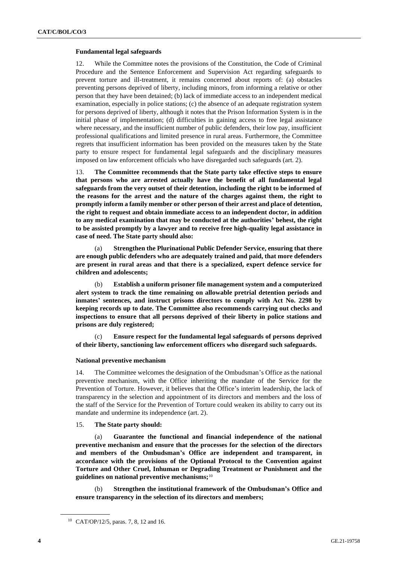## **Fundamental legal safeguards**

12. While the Committee notes the provisions of the Constitution, the Code of Criminal Procedure and the Sentence Enforcement and Supervision Act regarding safeguards to prevent torture and ill-treatment, it remains concerned about reports of: (a) obstacles preventing persons deprived of liberty, including minors, from informing a relative or other person that they have been detained; (b) lack of immediate access to an independent medical examination, especially in police stations; (c) the absence of an adequate registration system for persons deprived of liberty, although it notes that the Prison Information System is in the initial phase of implementation; (d) difficulties in gaining access to free legal assistance where necessary, and the insufficient number of public defenders, their low pay, insufficient professional qualifications and limited presence in rural areas. Furthermore, the Committee regrets that insufficient information has been provided on the measures taken by the State party to ensure respect for fundamental legal safeguards and the disciplinary measures imposed on law enforcement officials who have disregarded such safeguards (art. 2).

13. **The Committee recommends that the State party take effective steps to ensure that persons who are arrested actually have the benefit of all fundamental legal safeguards from the very outset of their detention, including the right to be informed of the reasons for the arrest and the nature of the charges against them, the right to promptly inform a family member or other person of their arrest and place of detention, the right to request and obtain immediate access to an independent doctor, in addition to any medical examination that may be conducted at the authorities' behest, the right to be assisted promptly by a lawyer and to receive free high-quality legal assistance in case of need. The State party should also:**

(a) **Strengthen the Plurinational Public Defender Service, ensuring that there are enough public defenders who are adequately trained and paid, that more defenders are present in rural areas and that there is a specialized, expert defence service for children and adolescents;**

(b) **Establish a uniform prisoner file management system and a computerized alert system to track the time remaining on allowable pretrial detention periods and inmates' sentences, and instruct prisons directors to comply with Act No. 2298 by keeping records up to date. The Committee also recommends carrying out checks and inspections to ensure that all persons deprived of their liberty in police stations and prisons are duly registered;**

(c) **Ensure respect for the fundamental legal safeguards of persons deprived of their liberty, sanctioning law enforcement officers who disregard such safeguards.**

### **National preventive mechanism**

14. The Committee welcomes the designation of the Ombudsman's Office as the national preventive mechanism, with the Office inheriting the mandate of the Service for the Prevention of Torture. However, it believes that the Office's interim leadership, the lack of transparency in the selection and appointment of its directors and members and the loss of the staff of the Service for the Prevention of Torture could weaken its ability to carry out its mandate and undermine its independence (art. 2).

### 15. **The State party should:**

(a) **Guarantee the functional and financial independence of the national preventive mechanism and ensure that the processes for the selection of the directors and members of the Ombudsman's Office are independent and transparent, in accordance with the provisions of the Optional Protocol to the Convention against Torture and Other Cruel, Inhuman or Degrading Treatment or Punishment and the guidelines on national preventive mechanisms;**<sup>10</sup>

(b) **Strengthen the institutional framework of the Ombudsman's Office and ensure transparency in the selection of its directors and members;**

<sup>10</sup> CAT/OP/12/5, paras. 7, 8, 12 and 16.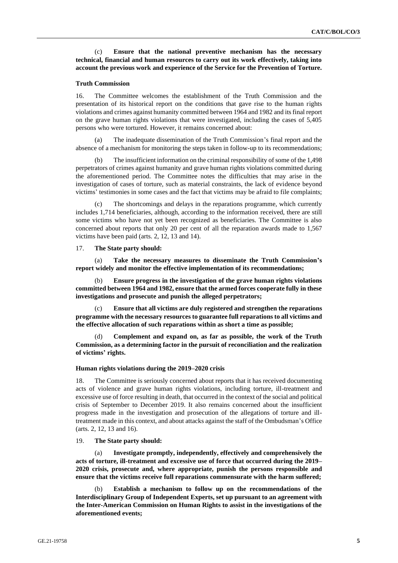## (c) **Ensure that the national preventive mechanism has the necessary technical, financial and human resources to carry out its work effectively, taking into account the previous work and experience of the Service for the Prevention of Torture.**

### **Truth Commission**

16. The Committee welcomes the establishment of the Truth Commission and the presentation of its historical report on the conditions that gave rise to the human rights violations and crimes against humanity committed between 1964 and 1982 and its final report on the grave human rights violations that were investigated, including the cases of 5,405 persons who were tortured. However, it remains concerned about:

(a) The inadequate dissemination of the Truth Commission's final report and the absence of a mechanism for monitoring the steps taken in follow-up to its recommendations;

(b) The insufficient information on the criminal responsibility of some of the 1,498 perpetrators of crimes against humanity and grave human rights violations committed during the aforementioned period. The Committee notes the difficulties that may arise in the investigation of cases of torture, such as material constraints, the lack of evidence beyond victims' testimonies in some cases and the fact that victims may be afraid to file complaints;

The shortcomings and delays in the reparations programme, which currently includes 1,714 beneficiaries, although, according to the information received, there are still some victims who have not yet been recognized as beneficiaries. The Committee is also concerned about reports that only 20 per cent of all the reparation awards made to 1,567 victims have been paid (arts. 2, 12, 13 and 14).

#### 17. **The State party should:**

(a) **Take the necessary measures to disseminate the Truth Commission's report widely and monitor the effective implementation of its recommendations;**

(b) **Ensure progress in the investigation of the grave human rights violations committed between 1964 and 1982, ensure that the armed forces cooperate fully in these investigations and prosecute and punish the alleged perpetrators;**

(c) **Ensure that all victims are duly registered and strengthen the reparations programme with the necessary resources to guarantee full reparations to all victims and the effective allocation of such reparations within as short a time as possible;**

(d) **Complement and expand on, as far as possible, the work of the Truth Commission, as a determining factor in the pursuit of reconciliation and the realization of victims' rights.**

#### **Human rights violations during the 2019–2020 crisis**

18. The Committee is seriously concerned about reports that it has received documenting acts of violence and grave human rights violations, including torture, ill-treatment and excessive use of force resulting in death, that occurred in the context of the social and political crisis of September to December 2019. It also remains concerned about the insufficient progress made in the investigation and prosecution of the allegations of torture and illtreatment made in this context, and about attacks against the staff of the Ombudsman's Office (arts. 2, 12, 13 and 16).

#### 19. **The State party should:**

(a) **Investigate promptly, independently, effectively and comprehensively the acts of torture, ill-treatment and excessive use of force that occurred during the 2019– 2020 crisis, prosecute and, where appropriate, punish the persons responsible and ensure that the victims receive full reparations commensurate with the harm suffered;**

(b) **Establish a mechanism to follow up on the recommendations of the Interdisciplinary Group of Independent Experts, set up pursuant to an agreement with the Inter-American Commission on Human Rights to assist in the investigations of the aforementioned events;**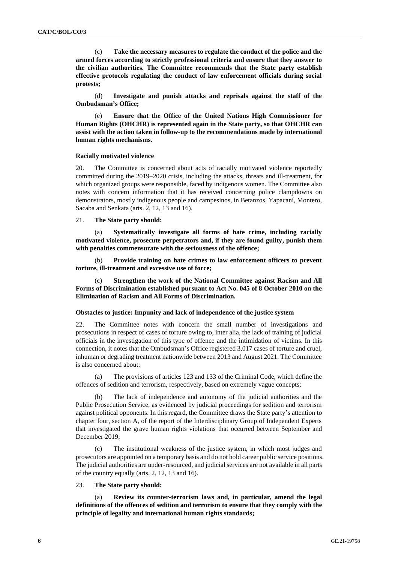(c) **Take the necessary measures to regulate the conduct of the police and the armed forces according to strictly professional criteria and ensure that they answer to the civilian authorities. The Committee recommends that the State party establish effective protocols regulating the conduct of law enforcement officials during social protests;**

(d) **Investigate and punish attacks and reprisals against the staff of the Ombudsman's Office;**

Ensure that the Office of the United Nations High Commissioner for **Human Rights (OHCHR) is represented again in the State party, so that OHCHR can assist with the action taken in follow-up to the recommendations made by international human rights mechanisms.**

#### **Racially motivated violence**

20. The Committee is concerned about acts of racially motivated violence reportedly committed during the 2019–2020 crisis, including the attacks, threats and ill-treatment, for which organized groups were responsible, faced by indigenous women. The Committee also notes with concern information that it has received concerning police clampdowns on demonstrators, mostly indigenous people and campesinos, in Betanzos, Yapacaní, Montero, Sacaba and Senkata (arts. 2, 12, 13 and 16).

#### 21. **The State party should:**

(a) **Systematically investigate all forms of hate crime, including racially motivated violence, prosecute perpetrators and, if they are found guilty, punish them with penalties commensurate with the seriousness of the offence;**

(b) **Provide training on hate crimes to law enforcement officers to prevent torture, ill-treatment and excessive use of force;**

**Strengthen the work of the National Committee against Racism and All Forms of Discrimination established pursuant to Act No. 045 of 8 October 2010 on the Elimination of Racism and All Forms of Discrimination.**

## **Obstacles to justice: Impunity and lack of independence of the justice system**

22. The Committee notes with concern the small number of investigations and prosecutions in respect of cases of torture owing to, inter alia, the lack of training of judicial officials in the investigation of this type of offence and the intimidation of victims. In this connection, it notes that the Ombudsman's Office registered 3,017 cases of torture and cruel, inhuman or degrading treatment nationwide between 2013 and August 2021. The Committee is also concerned about:

(a) The provisions of articles 123 and 133 of the Criminal Code, which define the offences of sedition and terrorism, respectively, based on extremely vague concepts;

(b) The lack of independence and autonomy of the judicial authorities and the Public Prosecution Service, as evidenced by judicial proceedings for sedition and terrorism against political opponents. In this regard, the Committee draws the State party's attention to chapter four, section A, of the report of the Interdisciplinary Group of Independent Experts that investigated the grave human rights violations that occurred between September and December 2019;

(c) The institutional weakness of the justice system, in which most judges and prosecutors are appointed on a temporary basis and do not hold career public service positions. The judicial authorities are under-resourced, and judicial services are not available in all parts of the country equally (arts. 2, 12, 13 and 16).

23. **The State party should:**

(a) **Review its counter-terrorism laws and, in particular, amend the legal definitions of the offences of sedition and terrorism to ensure that they comply with the principle of legality and international human rights standards;**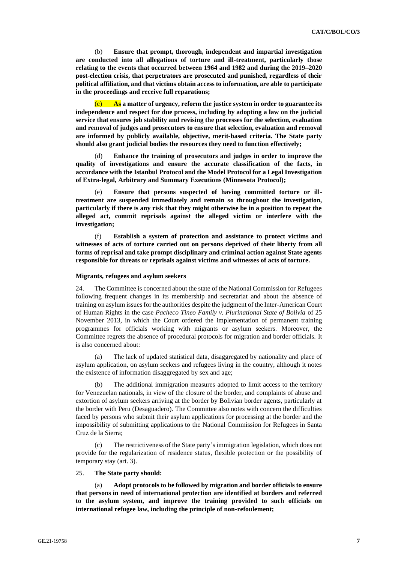(b) **Ensure that prompt, thorough, independent and impartial investigation are conducted into all allegations of torture and ill-treatment, particularly those relating to the events that occurred between 1964 and 1982 and during the 2019–2020 post-election crisis, that perpetrators are prosecuted and punished, regardless of their political affiliation, and that victims obtain access to information, are able to participate in the proceedings and receive full reparations;**

(c) **As a matter of urgency, reform the justice system in order to guarantee its independence and respect for due process, including by adopting a law on the judicial service that ensures job stability and revising the processes for the selection, evaluation and removal of judges and prosecutors to ensure that selection, evaluation and removal are informed by publicly available, objective, merit-based criteria. The State party should also grant judicial bodies the resources they need to function effectively;**

(d) **Enhance the training of prosecutors and judges in order to improve the quality of investigations and ensure the accurate classification of the facts, in accordance with the Istanbul Protocol and the Model Protocol for a Legal Investigation of Extra-legal, Arbitrary and Summary Executions (Minnesota Protocol);**

(e) **Ensure that persons suspected of having committed torture or illtreatment are suspended immediately and remain so throughout the investigation, particularly if there is any risk that they might otherwise be in a position to repeat the alleged act, commit reprisals against the alleged victim or interfere with the investigation;**

(f) **Establish a system of protection and assistance to protect victims and witnesses of acts of torture carried out on persons deprived of their liberty from all forms of reprisal and take prompt disciplinary and criminal action against State agents responsible for threats or reprisals against victims and witnesses of acts of torture.**

## **Migrants, refugees and asylum seekers**

24. The Committee is concerned about the state of the National Commission for Refugees following frequent changes in its membership and secretariat and about the absence of training on asylum issues for the authorities despite the judgment of the Inter-American Court of Human Rights in the case *Pacheco Tineo Family v. Plurinational State of Bolivia* of 25 November 2013, in which the Court ordered the implementation of permanent training programmes for officials working with migrants or asylum seekers. Moreover, the Committee regrets the absence of procedural protocols for migration and border officials. It is also concerned about:

(a) The lack of updated statistical data, disaggregated by nationality and place of asylum application, on asylum seekers and refugees living in the country, although it notes the existence of information disaggregated by sex and age;

(b) The additional immigration measures adopted to limit access to the territory for Venezuelan nationals, in view of the closure of the border, and complaints of abuse and extortion of asylum seekers arriving at the border by Bolivian border agents, particularly at the border with Peru (Desaguadero). The Committee also notes with concern the difficulties faced by persons who submit their asylum applications for processing at the border and the impossibility of submitting applications to the National Commission for Refugees in Santa Cruz de la Sierra;

(c) The restrictiveness of the State party's immigration legislation, which does not provide for the regularization of residence status, flexible protection or the possibility of temporary stay (art. 3).

25. **The State party should:**

(a) **Adopt protocols to be followed by migration and border officials to ensure that persons in need of international protection are identified at borders and referred to the asylum system, and improve the training provided to such officials on international refugee law, including the principle of non-refoulement;**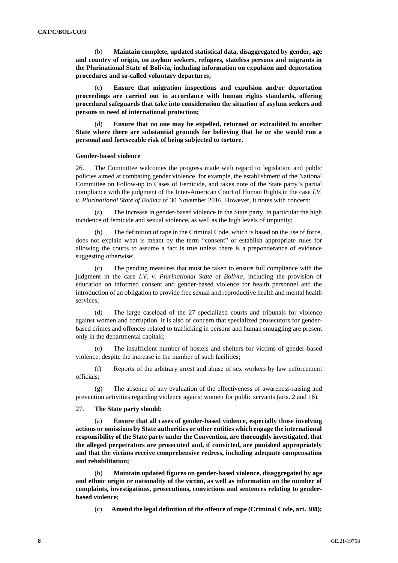(b) **Maintain complete, updated statistical data, disaggregated by gender, age and country of origin, on asylum seekers, refugees, stateless persons and migrants in the Plurinational State of Bolivia, including information on expulsion and deportation procedures and so-called voluntary departures;**

(c) **Ensure that migration inspections and expulsion and/or deportation proceedings are carried out in accordance with human rights standards, offering procedural safeguards that take into consideration the situation of asylum seekers and persons in need of international protection;**

(d) **Ensure that no one may be expelled, returned or extradited to another State where there are substantial grounds for believing that he or she would run a personal and foreseeable risk of being subjected to torture.**

#### **Gender-based violence**

26. The Committee welcomes the progress made with regard to legislation and public policies aimed at combating gender violence, for example, the establishment of the National Committee on Follow-up to Cases of Femicide, and takes note of the State party's partial compliance with the judgment of the Inter-American Court of Human Rights in the case *I.V. v. Plurinational State of Bolivia* of 30 November 2016. However, it notes with concern:

(a) The increase in gender-based violence in the State party, in particular the high incidence of femicide and sexual violence, as well as the high levels of impunity;

(b) The definition of rape in the Criminal Code, which is based on the use of force, does not explain what is meant by the term "consent" or establish appropriate rules for allowing the courts to assume a fact is true unless there is a preponderance of evidence suggesting otherwise;

(c) The pending measures that must be taken to ensure full compliance with the judgment in the case *I.V. v. Plurinational State of Bolivia*, including the provision of education on informed consent and gender-based violence for health personnel and the introduction of an obligation to provide free sexual and reproductive health and mental health services;

(d) The large caseload of the 27 specialized courts and tribunals for violence against women and corruption. It is also of concern that specialized prosecutors for genderbased crimes and offences related to trafficking in persons and human smuggling are present only in the departmental capitals;

(e) The insufficient number of hostels and shelters for victims of gender-based violence, despite the increase in the number of such facilities;

(f) Reports of the arbitrary arrest and abuse of sex workers by law enforcement officials;

(g) The absence of any evaluation of the effectiveness of awareness-raising and prevention activities regarding violence against women for public servants (arts. 2 and 16).

#### 27. **The State party should:**

(a) **Ensure that all cases of gender-based violence, especially those involving actions or omissions by State authorities or other entities which engage the international responsibility of the State party under the Convention, are thoroughly investigated, that the alleged perpetrators are prosecuted and, if convicted, are punished appropriately and that the victims receive comprehensive redress, including adequate compensation and rehabilitation;**

(b) **Maintain updated figures on gender-based violence, disaggregated by age and ethnic origin or nationality of the victim, as well as information on the number of complaints, investigations, prosecutions, convictions and sentences relating to genderbased violence;**

(c) **Amend the legal definition of the offence of rape (Criminal Code, art. 308);**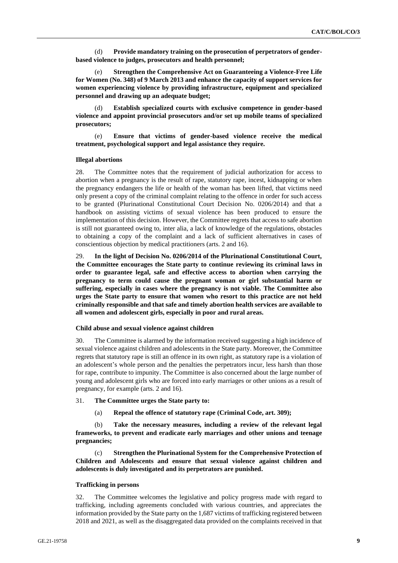(d) **Provide mandatory training on the prosecution of perpetrators of genderbased violence to judges, prosecutors and health personnel;**

(e) **Strengthen the Comprehensive Act on Guaranteeing a Violence-Free Life for Women (No. 348) of 9 March 2013 and enhance the capacity of support services for women experiencing violence by providing infrastructure, equipment and specialized personnel and drawing up an adequate budget;**

(d) **Establish specialized courts with exclusive competence in gender-based violence and appoint provincial prosecutors and/or set up mobile teams of specialized prosecutors;**

(e) **Ensure that victims of gender-based violence receive the medical treatment, psychological support and legal assistance they require.**

#### **Illegal abortions**

28. The Committee notes that the requirement of judicial authorization for access to abortion when a pregnancy is the result of rape, statutory rape, incest, kidnapping or when the pregnancy endangers the life or health of the woman has been lifted, that victims need only present a copy of the criminal complaint relating to the offence in order for such access to be granted (Plurinational Constitutional Court Decision No. 0206/2014) and that a handbook on assisting victims of sexual violence has been produced to ensure the implementation of this decision. However, the Committee regrets that access to safe abortion is still not guaranteed owing to, inter alia, a lack of knowledge of the regulations, obstacles to obtaining a copy of the complaint and a lack of sufficient alternatives in cases of conscientious objection by medical practitioners (arts. 2 and 16).

29. **In the light of Decision No. 0206/2014 of the Plurinational Constitutional Court, the Committee encourages the State party to continue reviewing its criminal laws in order to guarantee legal, safe and effective access to abortion when carrying the pregnancy to term could cause the pregnant woman or girl substantial harm or suffering, especially in cases where the pregnancy is not viable. The Committee also urges the State party to ensure that women who resort to this practice are not held criminally responsible and that safe and timely abortion health services are available to all women and adolescent girls, especially in poor and rural areas.**

#### **Child abuse and sexual violence against children**

30. The Committee is alarmed by the information received suggesting a high incidence of sexual violence against children and adolescents in the State party. Moreover, the Committee regrets that statutory rape is still an offence in its own right, as statutory rape is a violation of an adolescent's whole person and the penalties the perpetrators incur, less harsh than those for rape, contribute to impunity. The Committee is also concerned about the large number of young and adolescent girls who are forced into early marriages or other unions as a result of pregnancy, for example (arts. 2 and 16).

## 31. **The Committee urges the State party to:**

(a) **Repeal the offence of statutory rape (Criminal Code, art. 309);**

(b) **Take the necessary measures, including a review of the relevant legal frameworks, to prevent and eradicate early marriages and other unions and teenage pregnancies;**

(c) **Strengthen the Plurinational System for the Comprehensive Protection of Children and Adolescents and ensure that sexual violence against children and adolescents is duly investigated and its perpetrators are punished.**

#### **Trafficking in persons**

32. The Committee welcomes the legislative and policy progress made with regard to trafficking, including agreements concluded with various countries, and appreciates the information provided by the State party on the 1,687 victims of trafficking registered between 2018 and 2021, as well as the disaggregated data provided on the complaints received in that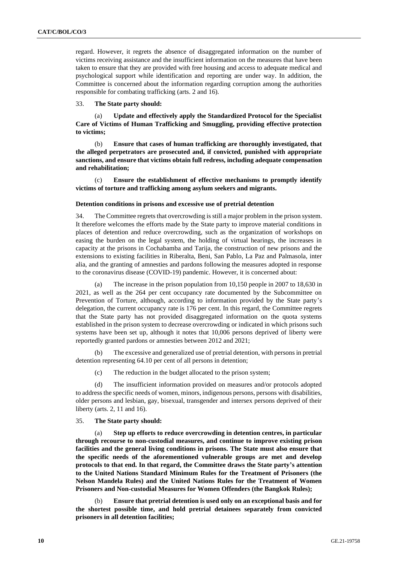regard. However, it regrets the absence of disaggregated information on the number of victims receiving assistance and the insufficient information on the measures that have been taken to ensure that they are provided with free housing and access to adequate medical and psychological support while identification and reporting are under way. In addition, the Committee is concerned about the information regarding corruption among the authorities responsible for combating trafficking (arts. 2 and 16).

33. **The State party should:**

Update and effectively apply the Standardized Protocol for the Specialist **Care of Victims of Human Trafficking and Smuggling, providing effective protection to victims;**

(b) **Ensure that cases of human trafficking are thoroughly investigated, that the alleged perpetrators are prosecuted and, if convicted, punished with appropriate sanctions, and ensure that victims obtain full redress, including adequate compensation and rehabilitation;**

(c) **Ensure the establishment of effective mechanisms to promptly identify victims of torture and trafficking among asylum seekers and migrants.**

#### **Detention conditions in prisons and excessive use of pretrial detention**

34. The Committee regrets that overcrowding is still a major problem in the prison system. It therefore welcomes the efforts made by the State party to improve material conditions in places of detention and reduce overcrowding, such as the organization of workshops on easing the burden on the legal system, the holding of virtual hearings, the increases in capacity at the prisons in Cochabamba and Tarija, the construction of new prisons and the extensions to existing facilities in Riberalta, Beni, San Pablo, La Paz and Palmasola, inter alia, and the granting of amnesties and pardons following the measures adopted in response to the coronavirus disease (COVID-19) pandemic. However, it is concerned about:

The increase in the prison population from  $10,150$  people in 2007 to 18,630 in 2021, as well as the 264 per cent occupancy rate documented by the Subcommittee on Prevention of Torture, although, according to information provided by the State party's delegation, the current occupancy rate is 176 per cent. In this regard, the Committee regrets that the State party has not provided disaggregated information on the quota systems established in the prison system to decrease overcrowding or indicated in which prisons such systems have been set up, although it notes that 10,006 persons deprived of liberty were reportedly granted pardons or amnesties between 2012 and 2021;

(b) The excessive and generalized use of pretrial detention, with persons in pretrial detention representing 64.10 per cent of all persons in detention;

(c) The reduction in the budget allocated to the prison system;

(d) The insufficient information provided on measures and/or protocols adopted to address the specific needs of women, minors, indigenous persons, persons with disabilities, older persons and lesbian, gay, bisexual, transgender and intersex persons deprived of their liberty (arts. 2, 11 and 16).

#### 35. **The State party should:**

Step up efforts to reduce overcrowding in detention centres, in particular **through recourse to non-custodial measures, and continue to improve existing prison facilities and the general living conditions in prisons. The State must also ensure that the specific needs of the aforementioned vulnerable groups are met and develop protocols to that end. In that regard, the Committee draws the State party's attention to the United Nations Standard Minimum Rules for the Treatment of Prisoners (the Nelson Mandela Rules) and the United Nations Rules for the Treatment of Women Prisoners and Non-custodial Measures for Women Offenders (the Bangkok Rules);**

(b) **Ensure that pretrial detention is used only on an exceptional basis and for the shortest possible time, and hold pretrial detainees separately from convicted prisoners in all detention facilities;**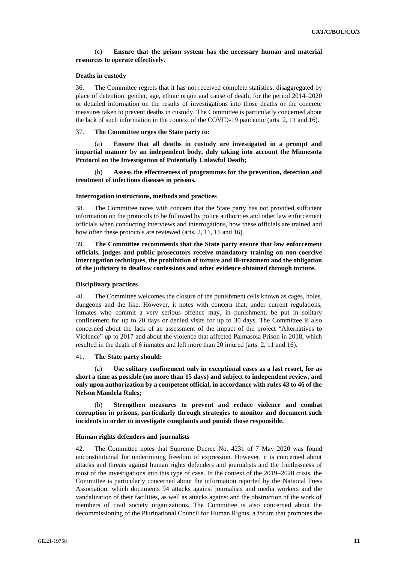## (c) **Ensure that the prison system has the necessary human and material resources to operate effectively.**

#### **Deaths in custody**

36. The Committee regrets that it has not received complete statistics, disaggregated by place of detention, gender, age, ethnic origin and cause of death, for the period 2014–2020 or detailed information on the results of investigations into those deaths or the concrete measures taken to prevent deaths in custody. The Committee is particularly concerned about the lack of such information in the context of the COVID-19 pandemic (arts. 2, 11 and 16).

#### 37. **The Committee urges the State party to:**

Ensure that all deaths in custody are investigated in a prompt and **impartial manner by an independent body, duly taking into account the Minnesota Protocol on the Investigation of Potentially Unlawful Death;**

Assess the effectiveness of programmes for the prevention, detection and **treatment of infectious diseases in prisons.**

#### **Interrogation instructions, methods and practices**

38. The Committee notes with concern that the State party has not provided sufficient information on the protocols to be followed by police authorities and other law enforcement officials when conducting interviews and interrogations, how these officials are trained and how often these protocols are reviewed (arts. 2, 11, 15 and 16).

39. **The Committee recommends that the State party ensure that law enforcement officials, judges and public prosecutors receive mandatory training on non-coercive interrogation techniques, the prohibition of torture and ill-treatment and the obligation of the judiciary to disallow confessions and other evidence obtained through torture.**

#### **Disciplinary practices**

40. The Committee welcomes the closure of the punishment cells known as cages, holes, dungeons and the like. However, it notes with concern that, under current regulations, inmates who commit a very serious offence may, in punishment, be put in solitary confinement for up to 20 days or denied visits for up to 30 days. The Committee is also concerned about the lack of an assessment of the impact of the project "Alternatives to Violence" up to 2017 and about the violence that affected Palmasola Prison in 2018, which resulted in the death of 6 inmates and left more than 20 injured (arts. 2, 11 and 16).

41. **The State party should:**

(a) **Use solitary confinement only in exceptional cases as a last resort, for as short a time as possible (no more than 15 days) and subject to independent review, and only upon authorization by a competent official, in accordance with rules 43 to 46 of the Nelson Mandela Rules;**

(b) **Strengthen measures to prevent and reduce violence and combat corruption in prisons, particularly through strategies to monitor and document such incidents in order to investigate complaints and punish those responsible.**

#### **Human rights defenders and journalists**

42. The Committee notes that Supreme Decree No. 4231 of 7 May 2020 was found unconstitutional for undermining freedom of expression. However, it is concerned about attacks and threats against human rights defenders and journalists and the fruitlessness of most of the investigations into this type of case. In the context of the 2019–2020 crisis, the Committee is particularly concerned about the information reported by the National Press Association, which documents 94 attacks against journalists and media workers and the vandalization of their facilities, as well as attacks against and the obstruction of the work of members of civil society organizations. The Committee is also concerned about the decommissioning of the Plurinational Council for Human Rights, a forum that promotes the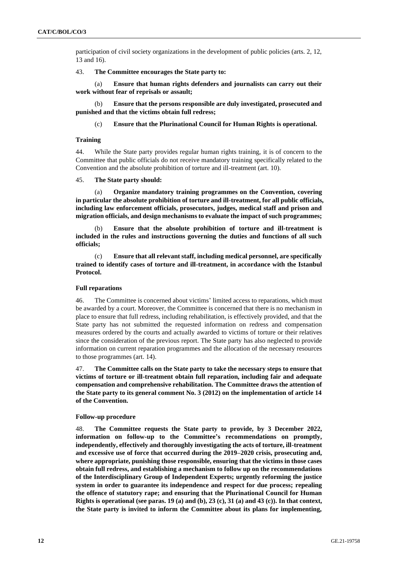participation of civil society organizations in the development of public policies (arts. 2, 12, 13 and 16).

43. **The Committee encourages the State party to:**

(a) **Ensure that human rights defenders and journalists can carry out their work without fear of reprisals or assault;**

(b) **Ensure that the persons responsible are duly investigated, prosecuted and punished and that the victims obtain full redress;**

(c) **Ensure that the Plurinational Council for Human Rights is operational.**

## **Training**

44. While the State party provides regular human rights training, it is of concern to the Committee that public officials do not receive mandatory training specifically related to the Convention and the absolute prohibition of torture and ill-treatment (art. 10).

## 45. **The State party should:**

(a) **Organize mandatory training programmes on the Convention, covering in particular the absolute prohibition of torture and ill-treatment, for all public officials, including law enforcement officials, prosecutors, judges, medical staff and prison and migration officials, and design mechanisms to evaluate the impact of such programmes;**

Ensure that the absolute prohibition of torture and ill-treatment is **included in the rules and instructions governing the duties and functions of all such officials;**

(c) **Ensure that all relevant staff, including medical personnel, are specifically trained to identify cases of torture and ill-treatment, in accordance with the Istanbul Protocol.**

## **Full reparations**

46. The Committee is concerned about victims' limited access to reparations, which must be awarded by a court. Moreover, the Committee is concerned that there is no mechanism in place to ensure that full redress, including rehabilitation, is effectively provided, and that the State party has not submitted the requested information on redress and compensation measures ordered by the courts and actually awarded to victims of torture or their relatives since the consideration of the previous report. The State party has also neglected to provide information on current reparation programmes and the allocation of the necessary resources to those programmes (art. 14).

47. **The Committee calls on the State party to take the necessary steps to ensure that victims of torture or ill-treatment obtain full reparation, including fair and adequate compensation and comprehensive rehabilitation. The Committee draws the attention of the State party to its general comment No. 3 (2012) on the implementation of article 14 of the Convention.**

## **Follow-up procedure**

48. **The Committee requests the State party to provide, by 3 December 2022, information on follow-up to the Committee's recommendations on promptly, independently, effectively and thoroughly investigating the acts of torture, ill-treatment and excessive use of force that occurred during the 2019–2020 crisis, prosecuting and, where appropriate, punishing those responsible, ensuring that the victims in those cases obtain full redress, and establishing a mechanism to follow up on the recommendations of the Interdisciplinary Group of Independent Experts; urgently reforming the justice system in order to guarantee its independence and respect for due process; repealing the offence of statutory rape; and ensuring that the Plurinational Council for Human Rights is operational (see paras. 19 (a) and (b), 23 (c), 31 (a) and 43 (c)). In that context, the State party is invited to inform the Committee about its plans for implementing,**